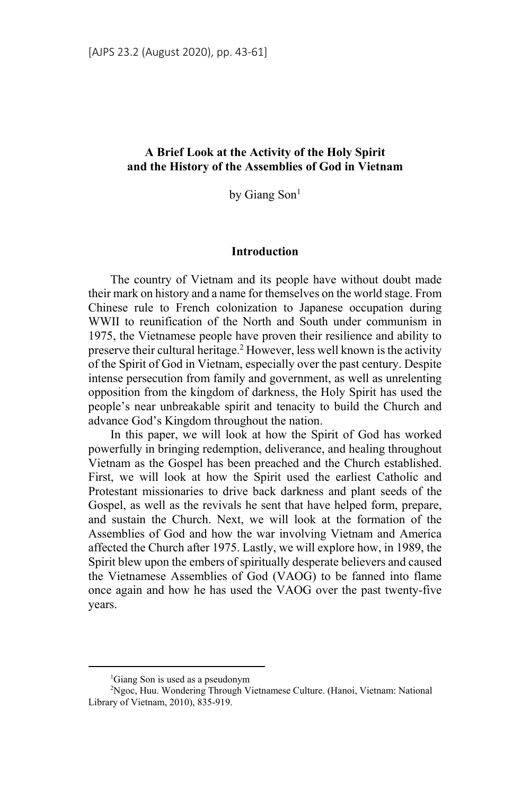## **A Brief Look at the Activity of the Holy Spirit and the History of the Assemblies of God in Vietnam**

by Giang Son<sup>1</sup>

### **Introduction**

The country of Vietnam and its people have without doubt made their mark on history and a name for themselves on the world stage. From Chinese rule to French colonization to Japanese occupation during WWII to reunification of the North and South under communism in 1975, the Vietnamese people have proven their resilience and ability to preserve their cultural heritage.<sup>2</sup> However, less well known is the activity of the Spirit of God in Vietnam, especially over the past century. Despite intense persecution from family and government, as well as unrelenting opposition from the kingdom of darkness, the Holy Spirit has used the people's near unbreakable spirit and tenacity to build the Church and advance God's Kingdom throughout the nation.

In this paper, we will look at how the Spirit of God has worked powerfully in bringing redemption, deliverance, and healing throughout Vietnam as the Gospel has been preached and the Church established. First, we will look at how the Spirit used the earliest Catholic and Protestant missionaries to drive back darkness and plant seeds of the Gospel, as well as the revivals he sent that have helped form, prepare, and sustain the Church. Next, we will look at the formation of the Assemblies of God and how the war involving Vietnam and America affected the Church after 1975. Lastly, we will explore how, in 1989, the Spirit blew upon the embers of spiritually desperate believers and caused the Vietnamese Assemblies of God (VAOG) to be fanned into flame once again and how he has used the VAOG over the past twenty-five years.

<sup>1</sup> Giang Son is used as a pseudonym

<sup>2</sup> Ngoc, Huu. Wondering Through Vietnamese Culture. (Hanoi, Vietnam: National Library of Vietnam, 2010), 835-919.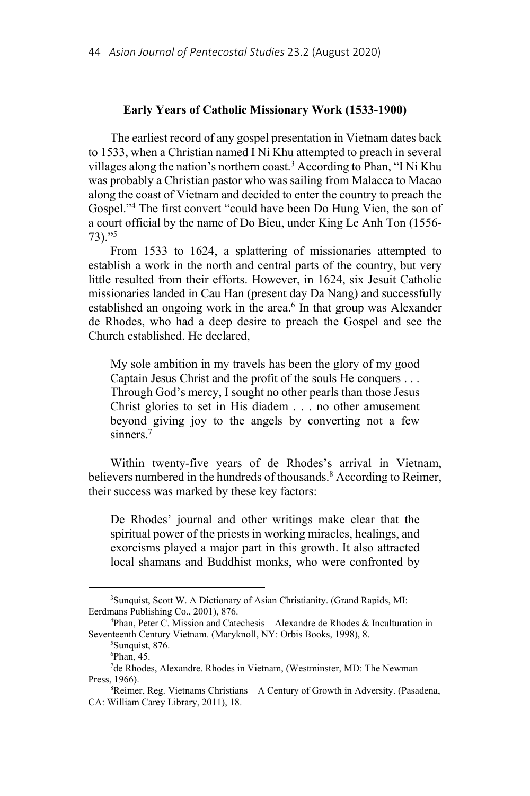#### **Early Years of Catholic Missionary Work (1533-1900)**

The earliest record of any gospel presentation in Vietnam dates back to 1533, when a Christian named I Ni Khu attempted to preach in several villages along the nation's northern coast.<sup>3</sup> According to Phan, "I Ni Khu was probably a Christian pastor who was sailing from Malacca to Macao along the coast of Vietnam and decided to enter the country to preach the Gospel."4 The first convert "could have been Do Hung Vien, the son of a court official by the name of Do Bieu, under King Le Anh Ton (1556- 73)."5

From 1533 to 1624, a splattering of missionaries attempted to establish a work in the north and central parts of the country, but very little resulted from their efforts. However, in 1624, six Jesuit Catholic missionaries landed in Cau Han (present day Da Nang) and successfully established an ongoing work in the area.<sup>6</sup> In that group was Alexander de Rhodes, who had a deep desire to preach the Gospel and see the Church established. He declared,

My sole ambition in my travels has been the glory of my good Captain Jesus Christ and the profit of the souls He conquers . . . Through God's mercy, I sought no other pearls than those Jesus Christ glories to set in His diadem . . . no other amusement beyond giving joy to the angels by converting not a few sinners.7

Within twenty-five years of de Rhodes's arrival in Vietnam, believers numbered in the hundreds of thousands.<sup>8</sup> According to Reimer, their success was marked by these key factors:

De Rhodes' journal and other writings make clear that the spiritual power of the priests in working miracles, healings, and exorcisms played a major part in this growth. It also attracted local shamans and Buddhist monks, who were confronted by

<sup>&</sup>lt;sup>3</sup>Sunquist, Scott W. A Dictionary of Asian Christianity. (Grand Rapids, MI: Eerdmans Publishing Co., 2001), 876. 4

Phan, Peter C. Mission and Catechesis—Alexandre de Rhodes & Inculturation in Seventeenth Century Vietnam. (Maryknoll, NY: Orbis Books, 1998), 8.

<sup>&</sup>lt;sup>5</sup>Sunquist, 876.

<sup>6</sup> Phan, 45.

<sup>&</sup>lt;sup>7</sup>de Rhodes, Alexandre. Rhodes in Vietnam, (Westminster, MD: The Newman Press, 1966).

Reimer, Reg. Vietnams Christians—A Century of Growth in Adversity. (Pasadena, CA: William Carey Library, 2011), 18.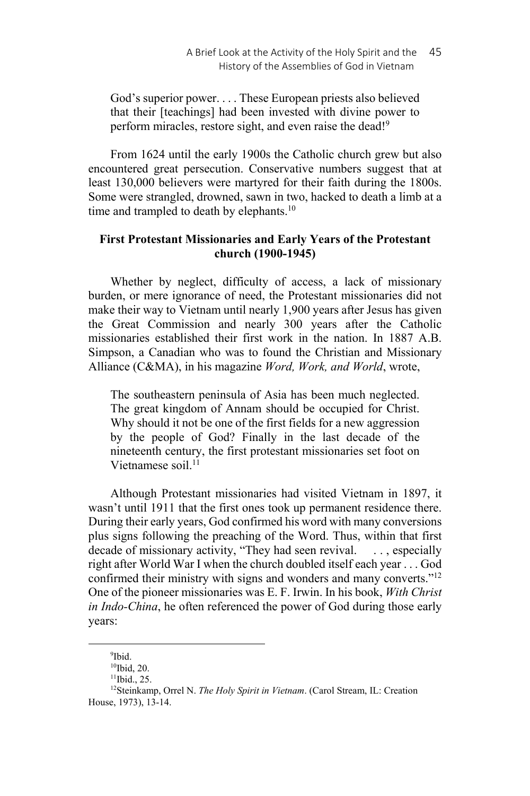God's superior power. . . . These European priests also believed that their [teachings] had been invested with divine power to perform miracles, restore sight, and even raise the dead!<sup>9</sup>

From 1624 until the early 1900s the Catholic church grew but also encountered great persecution. Conservative numbers suggest that at least 130,000 believers were martyred for their faith during the 1800s. Some were strangled, drowned, sawn in two, hacked to death a limb at a time and trampled to death by elephants.<sup>10</sup>

# **First Protestant Missionaries and Early Years of the Protestant church (1900-1945)**

Whether by neglect, difficulty of access, a lack of missionary burden, or mere ignorance of need, the Protestant missionaries did not make their way to Vietnam until nearly 1,900 years after Jesus has given the Great Commission and nearly 300 years after the Catholic missionaries established their first work in the nation. In 1887 A.B. Simpson, a Canadian who was to found the Christian and Missionary Alliance (C&MA), in his magazine *Word, Work, and World*, wrote,

The southeastern peninsula of Asia has been much neglected. The great kingdom of Annam should be occupied for Christ. Why should it not be one of the first fields for a new aggression by the people of God? Finally in the last decade of the nineteenth century, the first protestant missionaries set foot on Vietnamese soil  $^{11}$ 

Although Protestant missionaries had visited Vietnam in 1897, it wasn't until 1911 that the first ones took up permanent residence there. During their early years, God confirmed his word with many conversions plus signs following the preaching of the Word. Thus, within that first decade of missionary activity, "They had seen revival. ..., especially right after World War I when the church doubled itself each year . . . God confirmed their ministry with signs and wonders and many converts."12 One of the pioneer missionaries was E. F. Irwin. In his book, *With Christ in Indo-China*, he often referenced the power of God during those early years:

<sup>9</sup> Ibid.

<sup>&</sup>lt;sup>10</sup>Ibid, 20.

 $11$ Ibid., 25.

<sup>12</sup>Steinkamp, Orrel N. *The Holy Spirit in Vietnam*. (Carol Stream, IL: Creation House, 1973), 13-14.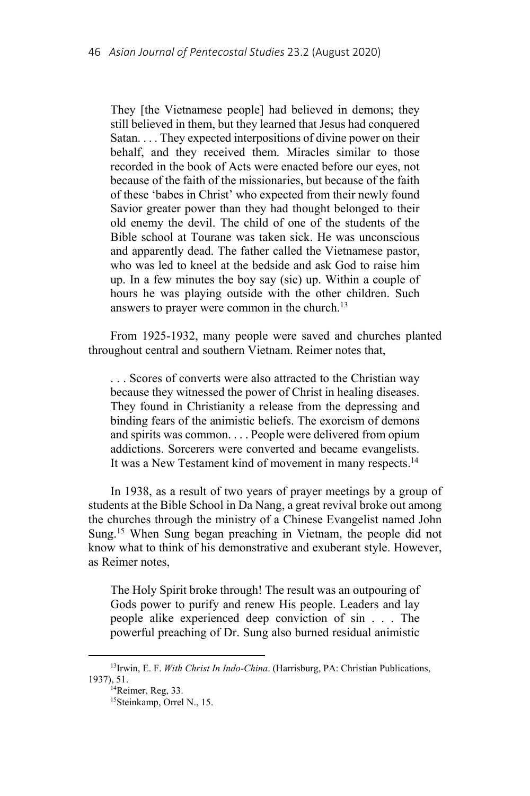They [the Vietnamese people] had believed in demons; they still believed in them, but they learned that Jesus had conquered Satan. . . . They expected interpositions of divine power on their behalf, and they received them. Miracles similar to those recorded in the book of Acts were enacted before our eyes, not because of the faith of the missionaries, but because of the faith of these 'babes in Christ' who expected from their newly found Savior greater power than they had thought belonged to their old enemy the devil. The child of one of the students of the Bible school at Tourane was taken sick. He was unconscious and apparently dead. The father called the Vietnamese pastor, who was led to kneel at the bedside and ask God to raise him up. In a few minutes the boy say (sic) up. Within a couple of hours he was playing outside with the other children. Such answers to prayer were common in the church.<sup>13</sup>

From 1925-1932, many people were saved and churches planted throughout central and southern Vietnam. Reimer notes that,

. . . Scores of converts were also attracted to the Christian way because they witnessed the power of Christ in healing diseases. They found in Christianity a release from the depressing and binding fears of the animistic beliefs. The exorcism of demons and spirits was common. . . . People were delivered from opium addictions. Sorcerers were converted and became evangelists. It was a New Testament kind of movement in many respects.<sup>14</sup>

In 1938, as a result of two years of prayer meetings by a group of students at the Bible School in Da Nang, a great revival broke out among the churches through the ministry of a Chinese Evangelist named John Sung.15 When Sung began preaching in Vietnam, the people did not know what to think of his demonstrative and exuberant style. However, as Reimer notes,

The Holy Spirit broke through! The result was an outpouring of Gods power to purify and renew His people. Leaders and lay people alike experienced deep conviction of sin . . . The powerful preaching of Dr. Sung also burned residual animistic

<sup>13</sup>Irwin, E. F. *With Christ In Indo-China*. (Harrisburg, PA: Christian Publications, 1937), 51.<br><sup>14</sup>Reimer, Reg, 33.

<sup>15</sup>Steinkamp, Orrel N., 15.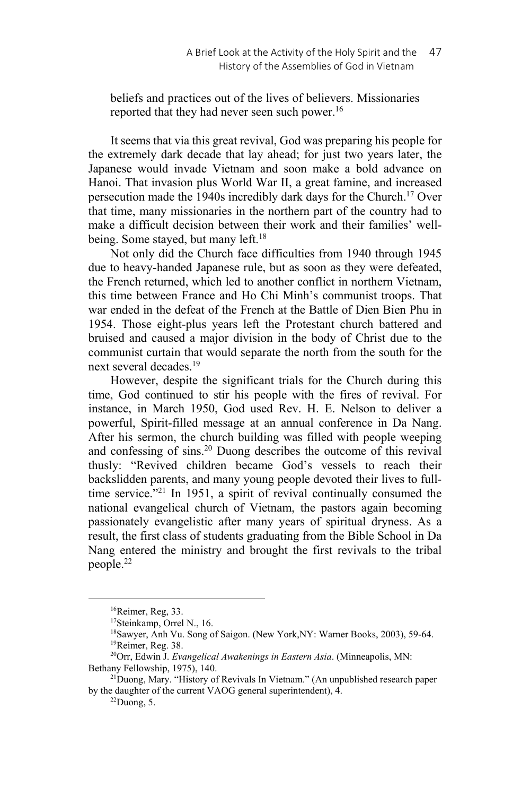beliefs and practices out of the lives of believers. Missionaries reported that they had never seen such power.16

It seems that via this great revival, God was preparing his people for the extremely dark decade that lay ahead; for just two years later, the Japanese would invade Vietnam and soon make a bold advance on Hanoi. That invasion plus World War II, a great famine, and increased persecution made the 1940s incredibly dark days for the Church.17 Over that time, many missionaries in the northern part of the country had to make a difficult decision between their work and their families' wellbeing. Some stayed, but many left.<sup>18</sup>

Not only did the Church face difficulties from 1940 through 1945 due to heavy-handed Japanese rule, but as soon as they were defeated, the French returned, which led to another conflict in northern Vietnam, this time between France and Ho Chi Minh's communist troops. That war ended in the defeat of the French at the Battle of Dien Bien Phu in 1954. Those eight-plus years left the Protestant church battered and bruised and caused a major division in the body of Christ due to the communist curtain that would separate the north from the south for the next several decades.<sup>19</sup>

However, despite the significant trials for the Church during this time, God continued to stir his people with the fires of revival. For instance, in March 1950, God used Rev. H. E. Nelson to deliver a powerful, Spirit-filled message at an annual conference in Da Nang. After his sermon, the church building was filled with people weeping and confessing of sins.20 Duong describes the outcome of this revival thusly: "Revived children became God's vessels to reach their backslidden parents, and many young people devoted their lives to fulltime service."21 In 1951, a spirit of revival continually consumed the national evangelical church of Vietnam, the pastors again becoming passionately evangelistic after many years of spiritual dryness. As a result, the first class of students graduating from the Bible School in Da Nang entered the ministry and brought the first revivals to the tribal people.22

<sup>16</sup>Reimer, Reg, 33.

<sup>17</sup>Steinkamp, Orrel N., 16.

<sup>&</sup>lt;sup>18</sup>Sawyer, Anh Vu. Song of Saigon. (New York, NY: Warner Books, 2003), 59-64. <sup>19</sup>Reimer, Reg. 38.

<sup>20</sup>Orr, Edwin J. *Evangelical Awakenings in Eastern Asia*. (Minneapolis, MN: Bethany Fellowship, 1975), 140.<br><sup>21</sup>Duong, Mary. "History of Revivals In Vietnam." (An unpublished research paper

by the daughter of the current VAOG general superintendent), 4.

 $22$ Duong, 5.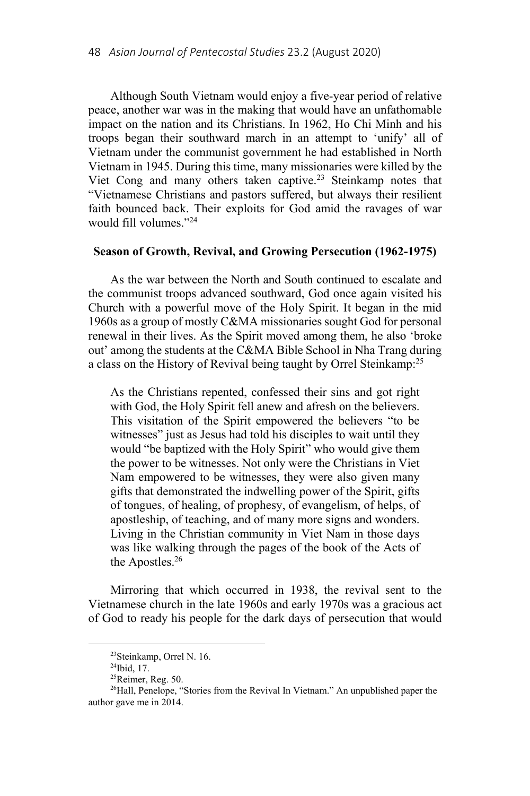Although South Vietnam would enjoy a five-year period of relative peace, another war was in the making that would have an unfathomable impact on the nation and its Christians. In 1962, Ho Chi Minh and his troops began their southward march in an attempt to 'unify' all of Vietnam under the communist government he had established in North Vietnam in 1945. During this time, many missionaries were killed by the Viet Cong and many others taken captive.<sup>23</sup> Steinkamp notes that "Vietnamese Christians and pastors suffered, but always their resilient faith bounced back. Their exploits for God amid the ravages of war would fill volumes."24

## **Season of Growth, Revival, and Growing Persecution (1962-1975)**

As the war between the North and South continued to escalate and the communist troops advanced southward, God once again visited his Church with a powerful move of the Holy Spirit. It began in the mid 1960s as a group of mostly C&MA missionaries sought God for personal renewal in their lives. As the Spirit moved among them, he also 'broke out' among the students at the C&MA Bible School in Nha Trang during a class on the History of Revival being taught by Orrel Steinkamp:<sup>25</sup>

As the Christians repented, confessed their sins and got right with God, the Holy Spirit fell anew and afresh on the believers. This visitation of the Spirit empowered the believers "to be witnesses" just as Jesus had told his disciples to wait until they would "be baptized with the Holy Spirit" who would give them the power to be witnesses. Not only were the Christians in Viet Nam empowered to be witnesses, they were also given many gifts that demonstrated the indwelling power of the Spirit, gifts of tongues, of healing, of prophesy, of evangelism, of helps, of apostleship, of teaching, and of many more signs and wonders. Living in the Christian community in Viet Nam in those days was like walking through the pages of the book of the Acts of the Apostles.26

Mirroring that which occurred in 1938, the revival sent to the Vietnamese church in the late 1960s and early 1970s was a gracious act of God to ready his people for the dark days of persecution that would

<sup>23</sup>Steinkamp, Orrel N. 16.

<sup>24</sup>Ibid, 17.

<sup>25</sup>Reimer, Reg. 50.

<sup>&</sup>lt;sup>26</sup>Hall, Penelope, "Stories from the Revival In Vietnam." An unpublished paper the author gave me in 2014.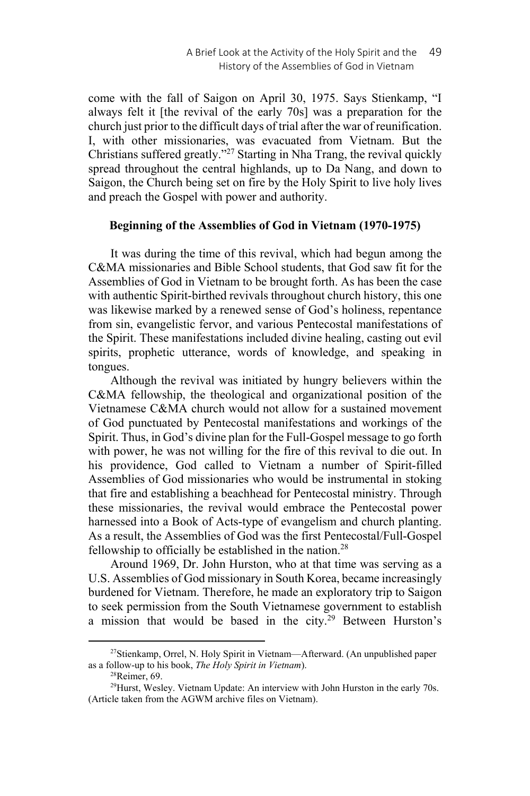come with the fall of Saigon on April 30, 1975. Says Stienkamp, "I always felt it [the revival of the early 70s] was a preparation for the church just prior to the difficult days of trial after the war of reunification. I, with other missionaries, was evacuated from Vietnam. But the Christians suffered greatly."27 Starting in Nha Trang, the revival quickly spread throughout the central highlands, up to Da Nang, and down to Saigon, the Church being set on fire by the Holy Spirit to live holy lives and preach the Gospel with power and authority.

### **Beginning of the Assemblies of God in Vietnam (1970-1975)**

It was during the time of this revival, which had begun among the C&MA missionaries and Bible School students, that God saw fit for the Assemblies of God in Vietnam to be brought forth. As has been the case with authentic Spirit-birthed revivals throughout church history, this one was likewise marked by a renewed sense of God's holiness, repentance from sin, evangelistic fervor, and various Pentecostal manifestations of the Spirit. These manifestations included divine healing, casting out evil spirits, prophetic utterance, words of knowledge, and speaking in tongues.

Although the revival was initiated by hungry believers within the C&MA fellowship, the theological and organizational position of the Vietnamese C&MA church would not allow for a sustained movement of God punctuated by Pentecostal manifestations and workings of the Spirit. Thus, in God's divine plan for the Full-Gospel message to go forth with power, he was not willing for the fire of this revival to die out. In his providence, God called to Vietnam a number of Spirit-filled Assemblies of God missionaries who would be instrumental in stoking that fire and establishing a beachhead for Pentecostal ministry. Through these missionaries, the revival would embrace the Pentecostal power harnessed into a Book of Acts-type of evangelism and church planting. As a result, the Assemblies of God was the first Pentecostal/Full-Gospel fellowship to officially be established in the nation.<sup>28</sup>

Around 1969, Dr. John Hurston, who at that time was serving as a U.S. Assemblies of God missionary in South Korea, became increasingly burdened for Vietnam. Therefore, he made an exploratory trip to Saigon to seek permission from the South Vietnamese government to establish a mission that would be based in the city.<sup>29</sup> Between Hurston's

<sup>&</sup>lt;sup>27</sup>Stienkamp, Orrel, N. Holy Spirit in Vietnam—Afterward. (An unpublished paper as a follow-up to his book, *The Holy Spirit in Vietnam*). 28Reimer, 69.

 $^{29}$ Hurst, Wesley. Vietnam Update: An interview with John Hurston in the early 70s. (Article taken from the AGWM archive files on Vietnam).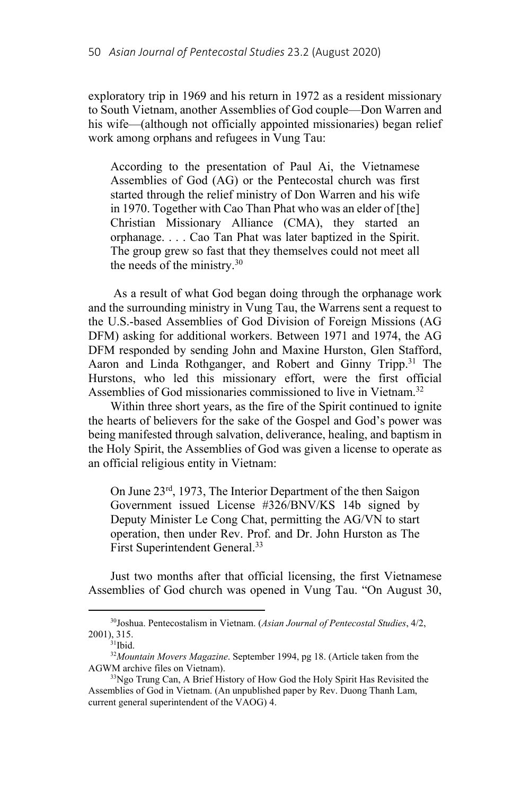exploratory trip in 1969 and his return in 1972 as a resident missionary to South Vietnam, another Assemblies of God couple—Don Warren and his wife—(although not officially appointed missionaries) began relief work among orphans and refugees in Vung Tau:

According to the presentation of Paul Ai, the Vietnamese Assemblies of God (AG) or the Pentecostal church was first started through the relief ministry of Don Warren and his wife in 1970. Together with Cao Than Phat who was an elder of [the] Christian Missionary Alliance (CMA), they started an orphanage. . . . Cao Tan Phat was later baptized in the Spirit. The group grew so fast that they themselves could not meet all the needs of the ministry.30

 As a result of what God began doing through the orphanage work and the surrounding ministry in Vung Tau, the Warrens sent a request to the U.S.-based Assemblies of God Division of Foreign Missions (AG DFM) asking for additional workers. Between 1971 and 1974, the AG DFM responded by sending John and Maxine Hurston, Glen Stafford, Aaron and Linda Rothganger, and Robert and Ginny Tripp.<sup>31</sup> The Hurstons, who led this missionary effort, were the first official Assemblies of God missionaries commissioned to live in Vietnam.<sup>32</sup>

Within three short years, as the fire of the Spirit continued to ignite the hearts of believers for the sake of the Gospel and God's power was being manifested through salvation, deliverance, healing, and baptism in the Holy Spirit, the Assemblies of God was given a license to operate as an official religious entity in Vietnam:

On June 23rd, 1973, The Interior Department of the then Saigon Government issued License #326/BNV/KS 14b signed by Deputy Minister Le Cong Chat, permitting the AG/VN to start operation, then under Rev. Prof. and Dr. John Hurston as The First Superintendent General.<sup>33</sup>

Just two months after that official licensing, the first Vietnamese Assemblies of God church was opened in Vung Tau. "On August 30,

<sup>30</sup>Joshua. Pentecostalism in Vietnam. (*Asian Journal of Pentecostal Studies*, 4/2,  $2001$ ), 315.<br><sup>31</sup>Ibid.

<sup>32</sup>*Mountain Movers Magazine*. September 1994, pg 18. (Article taken from the AGWM archive files on Vietnam).<br><sup>33</sup>Ngo Trung Can, A Brief History of How God the Holy Spirit Has Revisited the

Assemblies of God in Vietnam. (An unpublished paper by Rev. Duong Thanh Lam, current general superintendent of the VAOG) 4.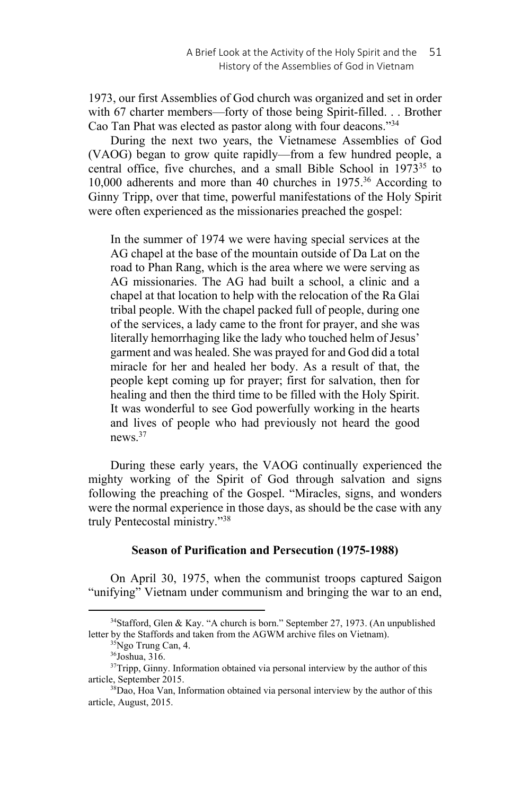1973, our first Assemblies of God church was organized and set in order with 67 charter members—forty of those being Spirit-filled. . . Brother Cao Tan Phat was elected as pastor along with four deacons."34

During the next two years, the Vietnamese Assemblies of God (VAOG) began to grow quite rapidly—from a few hundred people, a central office, five churches, and a small Bible School in  $1973^{35}$  to 10,000 adherents and more than 40 churches in 1975.36 According to Ginny Tripp, over that time, powerful manifestations of the Holy Spirit were often experienced as the missionaries preached the gospel:

In the summer of 1974 we were having special services at the AG chapel at the base of the mountain outside of Da Lat on the road to Phan Rang, which is the area where we were serving as AG missionaries. The AG had built a school, a clinic and a chapel at that location to help with the relocation of the Ra Glai tribal people. With the chapel packed full of people, during one of the services, a lady came to the front for prayer, and she was literally hemorrhaging like the lady who touched helm of Jesus' garment and was healed. She was prayed for and God did a total miracle for her and healed her body. As a result of that, the people kept coming up for prayer; first for salvation, then for healing and then the third time to be filled with the Holy Spirit. It was wonderful to see God powerfully working in the hearts and lives of people who had previously not heard the good news.37

During these early years, the VAOG continually experienced the mighty working of the Spirit of God through salvation and signs following the preaching of the Gospel. "Miracles, signs, and wonders were the normal experience in those days, as should be the case with any truly Pentecostal ministry."38

### **Season of Purification and Persecution (1975-1988)**

On April 30, 1975, when the communist troops captured Saigon "unifying" Vietnam under communism and bringing the war to an end,

<sup>34</sup>Stafford, Glen & Kay. "A church is born." September 27, 1973. (An unpublished letter by the Staffords and taken from the AGWM archive files on Vietnam).<br><sup>35</sup>Ngo Trung Can, 4.

<sup>36</sup>Joshua, 316.

<sup>&</sup>lt;sup>37</sup>Tripp, Ginny. Information obtained via personal interview by the author of this article, September 2015.<br><sup>38</sup>Dao, Hoa Van, Information obtained via personal interview by the author of this

article, August, 2015.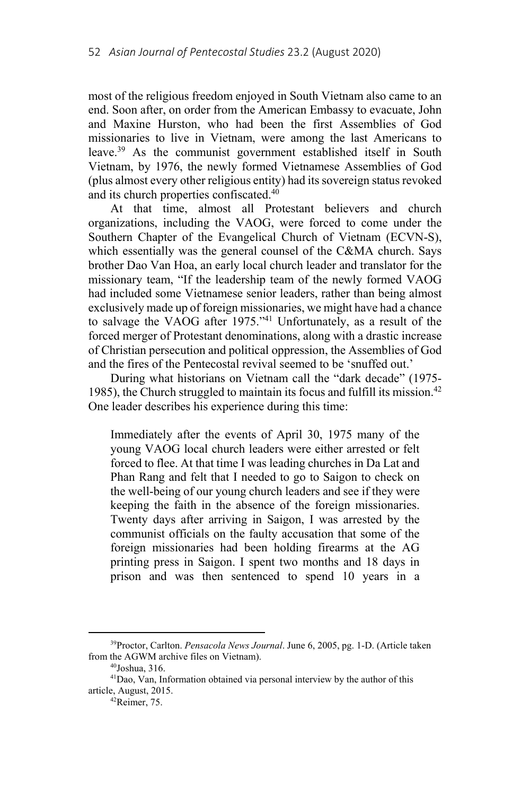most of the religious freedom enjoyed in South Vietnam also came to an end. Soon after, on order from the American Embassy to evacuate, John and Maxine Hurston, who had been the first Assemblies of God missionaries to live in Vietnam, were among the last Americans to leave.39 As the communist government established itself in South Vietnam, by 1976, the newly formed Vietnamese Assemblies of God (plus almost every other religious entity) had its sovereign status revoked and its church properties confiscated.40

At that time, almost all Protestant believers and church organizations, including the VAOG, were forced to come under the Southern Chapter of the Evangelical Church of Vietnam (ECVN-S), which essentially was the general counsel of the C&MA church. Says brother Dao Van Hoa, an early local church leader and translator for the missionary team, "If the leadership team of the newly formed VAOG had included some Vietnamese senior leaders, rather than being almost exclusively made up of foreign missionaries, we might have had a chance to salvage the VAOG after 1975."41 Unfortunately, as a result of the forced merger of Protestant denominations, along with a drastic increase of Christian persecution and political oppression, the Assemblies of God and the fires of the Pentecostal revival seemed to be 'snuffed out.'

During what historians on Vietnam call the "dark decade" (1975- 1985), the Church struggled to maintain its focus and fulfill its mission.<sup>42</sup> One leader describes his experience during this time:

Immediately after the events of April 30, 1975 many of the young VAOG local church leaders were either arrested or felt forced to flee. At that time I was leading churches in Da Lat and Phan Rang and felt that I needed to go to Saigon to check on the well-being of our young church leaders and see if they were keeping the faith in the absence of the foreign missionaries. Twenty days after arriving in Saigon, I was arrested by the communist officials on the faulty accusation that some of the foreign missionaries had been holding firearms at the AG printing press in Saigon. I spent two months and 18 days in prison and was then sentenced to spend 10 years in a

<sup>39</sup>Proctor, Carlton. *Pensacola News Journal*. June 6, 2005, pg. 1-D. (Article taken from the AGWM archive files on Vietnam). 40Joshua, 316.

<sup>41</sup>Dao, Van, Information obtained via personal interview by the author of this article, August, 2015. 42Reimer, 75.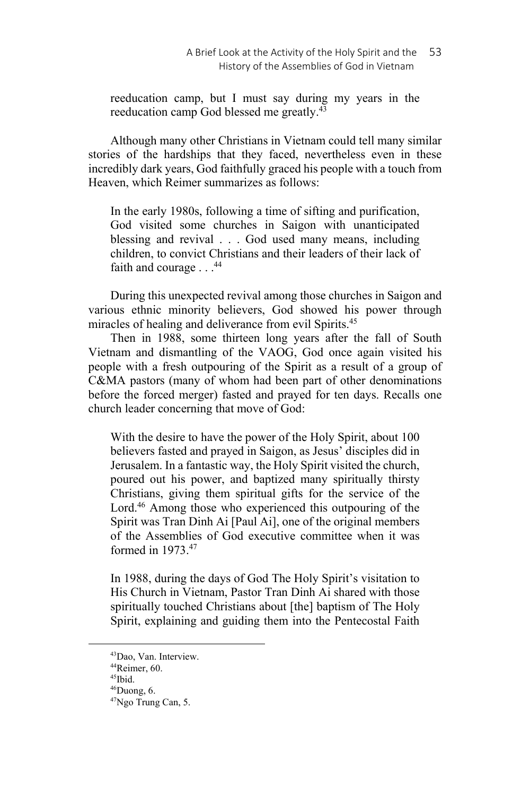reeducation camp, but I must say during my years in the reeducation camp God blessed me greatly.<sup>43</sup>

Although many other Christians in Vietnam could tell many similar stories of the hardships that they faced, nevertheless even in these incredibly dark years, God faithfully graced his people with a touch from Heaven, which Reimer summarizes as follows:

In the early 1980s, following a time of sifting and purification, God visited some churches in Saigon with unanticipated blessing and revival . . . God used many means, including children, to convict Christians and their leaders of their lack of faith and courage  $\ldots$ .<sup>44</sup>

During this unexpected revival among those churches in Saigon and various ethnic minority believers, God showed his power through miracles of healing and deliverance from evil Spirits.<sup>45</sup>

Then in 1988, some thirteen long years after the fall of South Vietnam and dismantling of the VAOG, God once again visited his people with a fresh outpouring of the Spirit as a result of a group of C&MA pastors (many of whom had been part of other denominations before the forced merger) fasted and prayed for ten days. Recalls one church leader concerning that move of God:

With the desire to have the power of the Holy Spirit, about 100 believers fasted and prayed in Saigon, as Jesus' disciples did in Jerusalem. In a fantastic way, the Holy Spirit visited the church, poured out his power, and baptized many spiritually thirsty Christians, giving them spiritual gifts for the service of the Lord.<sup>46</sup> Among those who experienced this outpouring of the Spirit was Tran Dinh Ai [Paul Ai], one of the original members of the Assemblies of God executive committee when it was formed in 1973.47

In 1988, during the days of God The Holy Spirit's visitation to His Church in Vietnam, Pastor Tran Dinh Ai shared with those spiritually touched Christians about [the] baptism of The Holy Spirit, explaining and guiding them into the Pentecostal Faith

<sup>43</sup>Dao, Van. Interview.

<sup>44</sup>Reimer, 60.

<sup>45</sup>Ibid.

 $46$ Duong, 6.

<sup>47</sup>Ngo Trung Can, 5.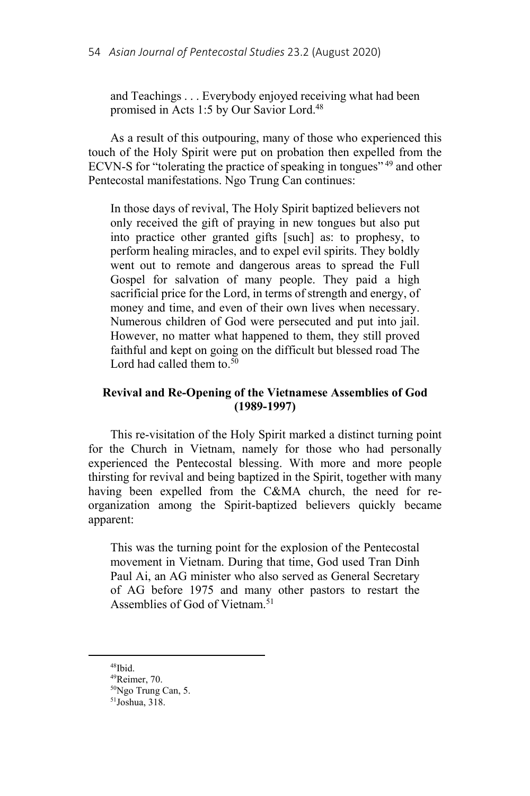and Teachings . . . Everybody enjoyed receiving what had been promised in Acts 1:5 by Our Savior Lord.48

As a result of this outpouring, many of those who experienced this touch of the Holy Spirit were put on probation then expelled from the ECVN-S for "tolerating the practice of speaking in tongues" 49 and other Pentecostal manifestations. Ngo Trung Can continues:

In those days of revival, The Holy Spirit baptized believers not only received the gift of praying in new tongues but also put into practice other granted gifts [such] as: to prophesy, to perform healing miracles, and to expel evil spirits. They boldly went out to remote and dangerous areas to spread the Full Gospel for salvation of many people. They paid a high sacrificial price for the Lord, in terms of strength and energy, of money and time, and even of their own lives when necessary. Numerous children of God were persecuted and put into jail. However, no matter what happened to them, they still proved faithful and kept on going on the difficult but blessed road The Lord had called them to  $50$ 

# **Revival and Re-Opening of the Vietnamese Assemblies of God (1989-1997)**

This re-visitation of the Holy Spirit marked a distinct turning point for the Church in Vietnam, namely for those who had personally experienced the Pentecostal blessing. With more and more people thirsting for revival and being baptized in the Spirit, together with many having been expelled from the C&MA church, the need for reorganization among the Spirit-baptized believers quickly became apparent:

This was the turning point for the explosion of the Pentecostal movement in Vietnam. During that time, God used Tran Dinh Paul Ai, an AG minister who also served as General Secretary of AG before 1975 and many other pastors to restart the Assemblies of God of Vietnam.<sup>51</sup>

<sup>48</sup>Ibid.

<sup>49</sup>Reimer, 70.

<sup>50</sup>Ngo Trung Can, 5.

<sup>51</sup>Joshua, 318.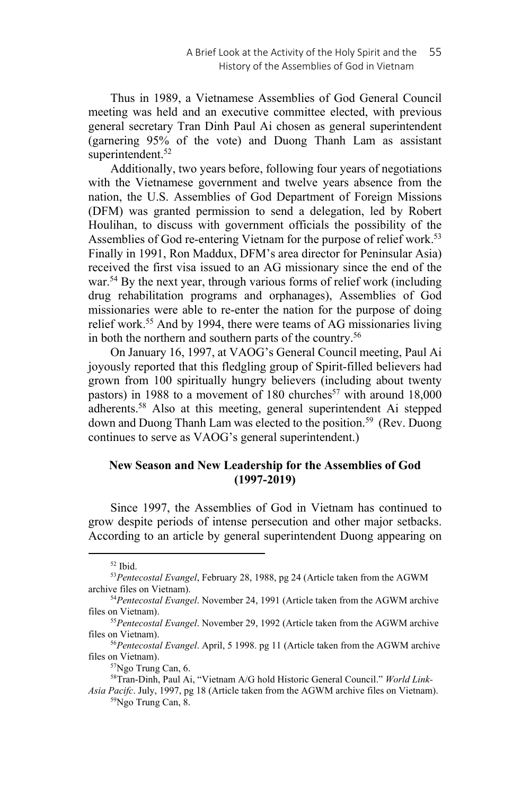Thus in 1989, a Vietnamese Assemblies of God General Council meeting was held and an executive committee elected, with previous general secretary Tran Dinh Paul Ai chosen as general superintendent (garnering 95% of the vote) and Duong Thanh Lam as assistant superintendent.<sup>52</sup>

Additionally, two years before, following four years of negotiations with the Vietnamese government and twelve years absence from the nation, the U.S. Assemblies of God Department of Foreign Missions (DFM) was granted permission to send a delegation, led by Robert Houlihan, to discuss with government officials the possibility of the Assemblies of God re-entering Vietnam for the purpose of relief work.<sup>53</sup> Finally in 1991, Ron Maddux, DFM's area director for Peninsular Asia) received the first visa issued to an AG missionary since the end of the war.<sup>54</sup> By the next year, through various forms of relief work (including drug rehabilitation programs and orphanages), Assemblies of God missionaries were able to re-enter the nation for the purpose of doing relief work.55 And by 1994, there were teams of AG missionaries living in both the northern and southern parts of the country.<sup>56</sup>

On January 16, 1997, at VAOG's General Council meeting, Paul Ai joyously reported that this fledgling group of Spirit-filled believers had grown from 100 spiritually hungry believers (including about twenty pastors) in 1988 to a movement of 180 churches<sup>57</sup> with around 18,000 adherents.58 Also at this meeting, general superintendent Ai stepped down and Duong Thanh Lam was elected to the position.<sup>59</sup> (Rev. Duong continues to serve as VAOG's general superintendent.)

# **New Season and New Leadership for the Assemblies of God (1997-2019)**

Since 1997, the Assemblies of God in Vietnam has continued to grow despite periods of intense persecution and other major setbacks. According to an article by general superintendent Duong appearing on

 $52$  Ibid.

<sup>53</sup>*Pentecostal Evangel*, February 28, 1988, pg 24 (Article taken from the AGWM archive files on Vietnam). 54*Pentecostal Evangel*. November 24, 1991 (Article taken from the AGWM archive

files on Vietnam). 55*Pentecostal Evangel*. November 29, 1992 (Article taken from the AGWM archive

files on Vietnam).<br><sup>56</sup>*Pentecostal Evangel*. April, 5 1998. pg 11 (Article taken from the AGWM archive files on Vietnam).

<sup>&</sup>lt;sup>57</sup>Ngo Trung Can, 6.

<sup>58</sup>Tran-Dinh, Paul Ai, "Vietnam A/G hold Historic General Council." *World Link-*

*Asia Pacifc*. July, 1997, pg 18 (Article taken from the AGWM archive files on Vietnam). 59Ngo Trung Can, 8.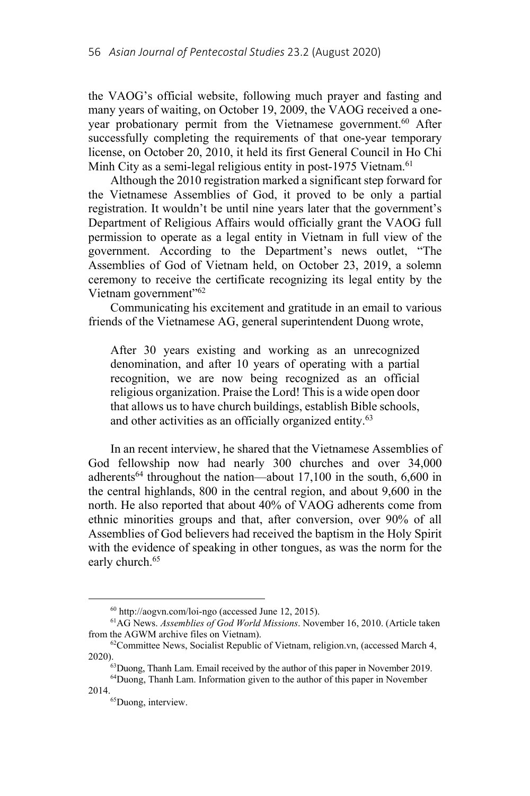the VAOG's official website, following much prayer and fasting and many years of waiting, on October 19, 2009, the VAOG received a oneyear probationary permit from the Vietnamese government.<sup>60</sup> After successfully completing the requirements of that one-year temporary license, on October 20, 2010, it held its first General Council in Ho Chi Minh City as a semi-legal religious entity in post-1975 Vietnam.<sup>61</sup>

Although the 2010 registration marked a significant step forward for the Vietnamese Assemblies of God, it proved to be only a partial registration. It wouldn't be until nine years later that the government's Department of Religious Affairs would officially grant the VAOG full permission to operate as a legal entity in Vietnam in full view of the government. According to the Department's news outlet, "The Assemblies of God of Vietnam held, on October 23, 2019, a solemn ceremony to receive the certificate recognizing its legal entity by the Vietnam government"<sup>62</sup>

Communicating his excitement and gratitude in an email to various friends of the Vietnamese AG, general superintendent Duong wrote,

After 30 years existing and working as an unrecognized denomination, and after 10 years of operating with a partial recognition, we are now being recognized as an official religious organization. Praise the Lord! This is a wide open door that allows us to have church buildings, establish Bible schools, and other activities as an officially organized entity.<sup>63</sup>

In an recent interview, he shared that the Vietnamese Assemblies of God fellowship now had nearly 300 churches and over 34,000 adherents<sup>64</sup> throughout the nation—about  $17,100$  in the south,  $6,600$  in the central highlands, 800 in the central region, and about 9,600 in the north. He also reported that about 40% of VAOG adherents come from ethnic minorities groups and that, after conversion, over 90% of all Assemblies of God believers had received the baptism in the Holy Spirit with the evidence of speaking in other tongues, as was the norm for the early church.<sup>65</sup>

<sup>&</sup>lt;sup>60</sup> http://aogvn.com/loi-ngo (accessed June 12, 2015).<br><sup>61</sup>AG News. *Assemblies of God World Missions*. November 16, 2010. (Article taken<br>from the AGWM archive files on Vietnam).

 $^{62}$ Committee News, Socialist Republic of Vietnam, religion.vn, (accessed March 4, 2020).

 $^{63}$ Duong, Thanh Lam. Email received by the author of this paper in November 2019.  $^{64}$ Duong, Thanh Lam. Information given to the author of this paper in November

<sup>2014.&</sup>lt;br><sup>65</sup>Duong, interview.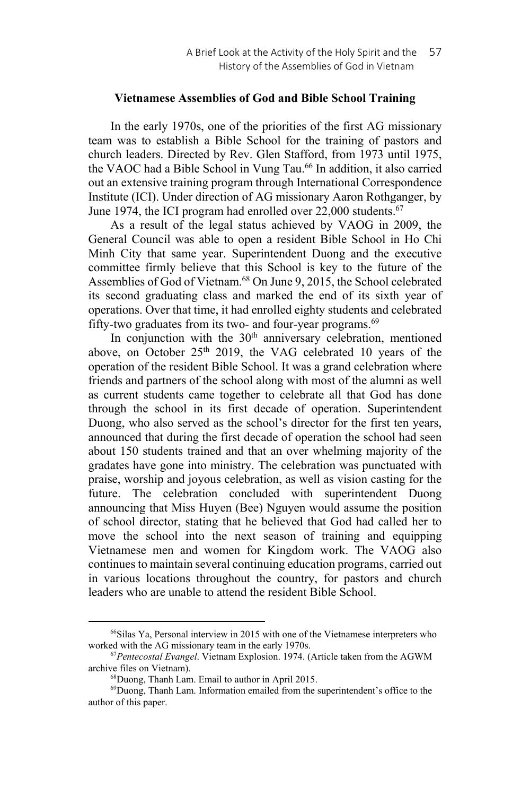#### **Vietnamese Assemblies of God and Bible School Training**

In the early 1970s, one of the priorities of the first AG missionary team was to establish a Bible School for the training of pastors and church leaders. Directed by Rev. Glen Stafford, from 1973 until 1975, the VAOC had a Bible School in Vung Tau.<sup>66</sup> In addition, it also carried out an extensive training program through International Correspondence Institute (ICI). Under direction of AG missionary Aaron Rothganger, by June 1974, the ICI program had enrolled over 22,000 students.<sup>67</sup>

As a result of the legal status achieved by VAOG in 2009, the General Council was able to open a resident Bible School in Ho Chi Minh City that same year. Superintendent Duong and the executive committee firmly believe that this School is key to the future of the Assemblies of God of Vietnam.<sup>68</sup> On June 9, 2015, the School celebrated its second graduating class and marked the end of its sixth year of operations. Over that time, it had enrolled eighty students and celebrated fifty-two graduates from its two- and four-year programs.<sup>69</sup>

In conjunction with the  $30<sup>th</sup>$  anniversary celebration, mentioned above, on October 25<sup>th</sup> 2019, the VAG celebrated 10 years of the operation of the resident Bible School. It was a grand celebration where friends and partners of the school along with most of the alumni as well as current students came together to celebrate all that God has done through the school in its first decade of operation. Superintendent Duong, who also served as the school's director for the first ten years, announced that during the first decade of operation the school had seen about 150 students trained and that an over whelming majority of the gradates have gone into ministry. The celebration was punctuated with praise, worship and joyous celebration, as well as vision casting for the future. The celebration concluded with superintendent Duong announcing that Miss Huyen (Bee) Nguyen would assume the position of school director, stating that he believed that God had called her to move the school into the next season of training and equipping Vietnamese men and women for Kingdom work. The VAOG also continues to maintain several continuing education programs, carried out in various locations throughout the country, for pastors and church leaders who are unable to attend the resident Bible School.

<sup>66</sup>Silas Ya, Personal interview in 2015 with one of the Vietnamese interpreters who worked with the AG missionary team in the early 1970s.<br><sup>67</sup>*Pentecostal Evangel*. Vietnam Explosion. 1974. (Article taken from the AGWM

archive files on Vietnam).<br><sup>68</sup>Duong, Thanh Lam. Email to author in April 2015.

<sup>69</sup>Duong, Thanh Lam. Information emailed from the superintendent's office to the author of this paper.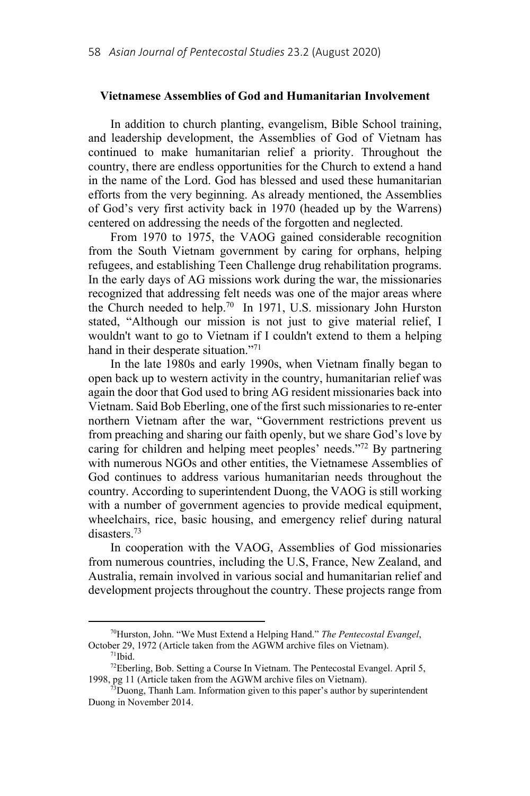### **Vietnamese Assemblies of God and Humanitarian Involvement**

In addition to church planting, evangelism, Bible School training, and leadership development, the Assemblies of God of Vietnam has continued to make humanitarian relief a priority. Throughout the country, there are endless opportunities for the Church to extend a hand in the name of the Lord. God has blessed and used these humanitarian efforts from the very beginning. As already mentioned, the Assemblies of God's very first activity back in 1970 (headed up by the Warrens) centered on addressing the needs of the forgotten and neglected.

From 1970 to 1975, the VAOG gained considerable recognition from the South Vietnam government by caring for orphans, helping refugees, and establishing Teen Challenge drug rehabilitation programs. In the early days of AG missions work during the war, the missionaries recognized that addressing felt needs was one of the major areas where the Church needed to help.<sup>70</sup> In 1971, U.S. missionary John Hurston stated, "Although our mission is not just to give material relief, I wouldn't want to go to Vietnam if I couldn't extend to them a helping hand in their desperate situation."<sup>71</sup>

In the late 1980s and early 1990s, when Vietnam finally began to open back up to western activity in the country, humanitarian relief was again the door that God used to bring AG resident missionaries back into Vietnam. Said Bob Eberling, one of the first such missionaries to re-enter northern Vietnam after the war, "Government restrictions prevent us from preaching and sharing our faith openly, but we share God's love by caring for children and helping meet peoples' needs."<sup>72</sup> By partnering with numerous NGOs and other entities, the Vietnamese Assemblies of God continues to address various humanitarian needs throughout the country. According to superintendent Duong, the VAOG is still working with a number of government agencies to provide medical equipment, wheelchairs, rice, basic housing, and emergency relief during natural disasters.73

In cooperation with the VAOG, Assemblies of God missionaries from numerous countries, including the U.S, France, New Zealand, and Australia, remain involved in various social and humanitarian relief and development projects throughout the country. These projects range from

<sup>70</sup>Hurston, John. "We Must Extend a Helping Hand." *The Pentecostal Evangel*, October 29, 1972 (Article taken from the AGWM archive files on Vietnam).<br><sup>71</sup>Ibid.

<sup>72</sup>Eberling, Bob. Setting a Course In Vietnam. The Pentecostal Evangel. April 5, 1998, pg 11 (Article taken from the AGWM archive files on Vietnam).<br><sup>73</sup>Duong, Thanh Lam. Information given to this paper's author by superintendent

Duong in November 2014.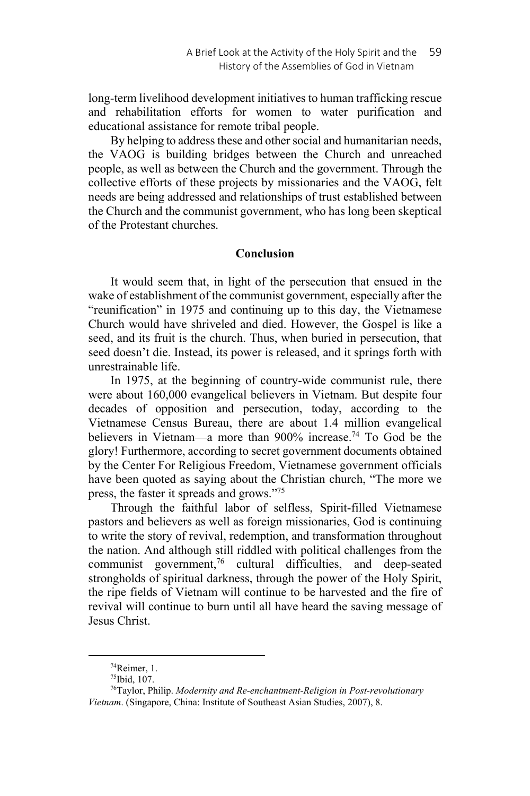long-term livelihood development initiatives to human trafficking rescue and rehabilitation efforts for women to water purification and educational assistance for remote tribal people.

By helping to address these and other social and humanitarian needs, the VAOG is building bridges between the Church and unreached people, as well as between the Church and the government. Through the collective efforts of these projects by missionaries and the VAOG, felt needs are being addressed and relationships of trust established between the Church and the communist government, who has long been skeptical of the Protestant churches.

### **Conclusion**

It would seem that, in light of the persecution that ensued in the wake of establishment of the communist government, especially after the "reunification" in 1975 and continuing up to this day, the Vietnamese Church would have shriveled and died. However, the Gospel is like a seed, and its fruit is the church. Thus, when buried in persecution, that seed doesn't die. Instead, its power is released, and it springs forth with unrestrainable life.

In 1975, at the beginning of country-wide communist rule, there were about 160,000 evangelical believers in Vietnam. But despite four decades of opposition and persecution, today, according to the Vietnamese Census Bureau, there are about 1.4 million evangelical believers in Vietnam—a more than 900% increase.74 To God be the glory! Furthermore, according to secret government documents obtained by the Center For Religious Freedom, Vietnamese government officials have been quoted as saying about the Christian church, "The more we press, the faster it spreads and grows."75

Through the faithful labor of selfless, Spirit-filled Vietnamese pastors and believers as well as foreign missionaries, God is continuing to write the story of revival, redemption, and transformation throughout the nation. And although still riddled with political challenges from the communist government, $76$  cultural difficulties, and deep-seated strongholds of spiritual darkness, through the power of the Holy Spirit, the ripe fields of Vietnam will continue to be harvested and the fire of revival will continue to burn until all have heard the saving message of Jesus Christ.

<sup>74</sup>Reimer, 1.

<sup>75</sup>Ibid, 107.

<sup>76</sup>Taylor, Philip. *Modernity and Re-enchantment-Religion in Post-revolutionary Vietnam*. (Singapore, China: Institute of Southeast Asian Studies, 2007), 8.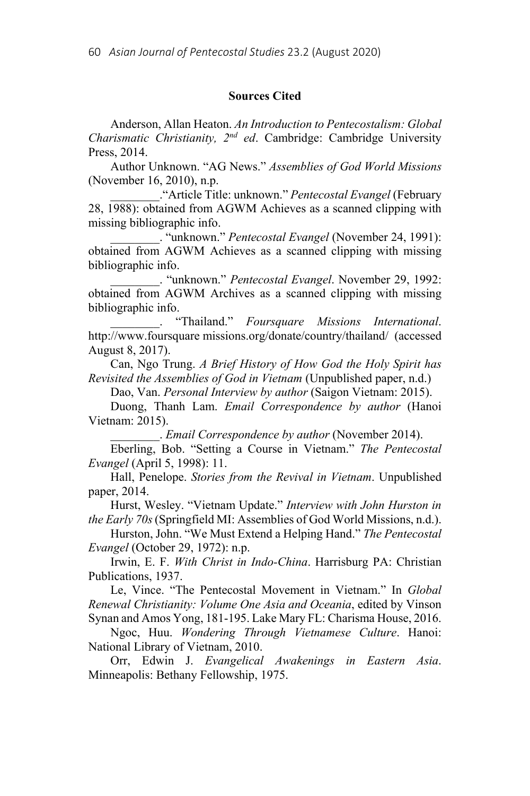### **Sources Cited**

Anderson, Allan Heaton. *An Introduction to Pentecostalism: Global Charismatic Christianity, 2nd ed*. Cambridge: Cambridge University Press, 2014.

Author Unknown. "AG News." *Assemblies of God World Missions* (November 16, 2010), n.p.

\_\_\_\_\_\_\_\_."Article Title: unknown." *Pentecostal Evangel* (February 28, 1988): obtained from AGWM Achieves as a scanned clipping with missing bibliographic info.

\_\_\_\_\_\_\_\_. "unknown." *Pentecostal Evangel* (November 24, 1991): obtained from AGWM Achieves as a scanned clipping with missing bibliographic info.

\_\_\_\_\_\_\_\_. "unknown." *Pentecostal Evangel*. November 29, 1992: obtained from AGWM Archives as a scanned clipping with missing bibliographic info.

\_\_\_\_\_\_\_\_. "Thailand." *Foursquare Missions International*. http://www.foursquare missions.org/donate/country/thailand/ (accessed August 8, 2017).

Can, Ngo Trung. *A Brief History of How God the Holy Spirit has Revisited the Assemblies of God in Vietnam* (Unpublished paper, n.d.)

Dao, Van. *Personal Interview by author* (Saigon Vietnam: 2015).

Duong, Thanh Lam. *Email Correspondence by author* (Hanoi Vietnam: 2015).

\_\_\_\_\_\_\_\_. *Email Correspondence by author* (November 2014).

Eberling, Bob. "Setting a Course in Vietnam." *The Pentecostal Evangel* (April 5, 1998): 11.

Hall, Penelope. *Stories from the Revival in Vietnam*. Unpublished paper, 2014.

Hurst, Wesley. "Vietnam Update." *Interview with John Hurston in the Early 70s* (Springfield MI: Assemblies of God World Missions, n.d.).

Hurston, John. "We Must Extend a Helping Hand." *The Pentecostal Evangel* (October 29, 1972): n.p.

Irwin, E. F. *With Christ in Indo-China*. Harrisburg PA: Christian Publications, 1937.

Le, Vince. "The Pentecostal Movement in Vietnam." In *Global Renewal Christianity: Volume One Asia and Oceania*, edited by Vinson Synan and Amos Yong, 181-195. Lake Mary FL: Charisma House, 2016.

Ngoc, Huu. *Wondering Through Vietnamese Culture*. Hanoi: National Library of Vietnam, 2010.

Orr, Edwin J. *Evangelical Awakenings in Eastern Asia*. Minneapolis: Bethany Fellowship, 1975.